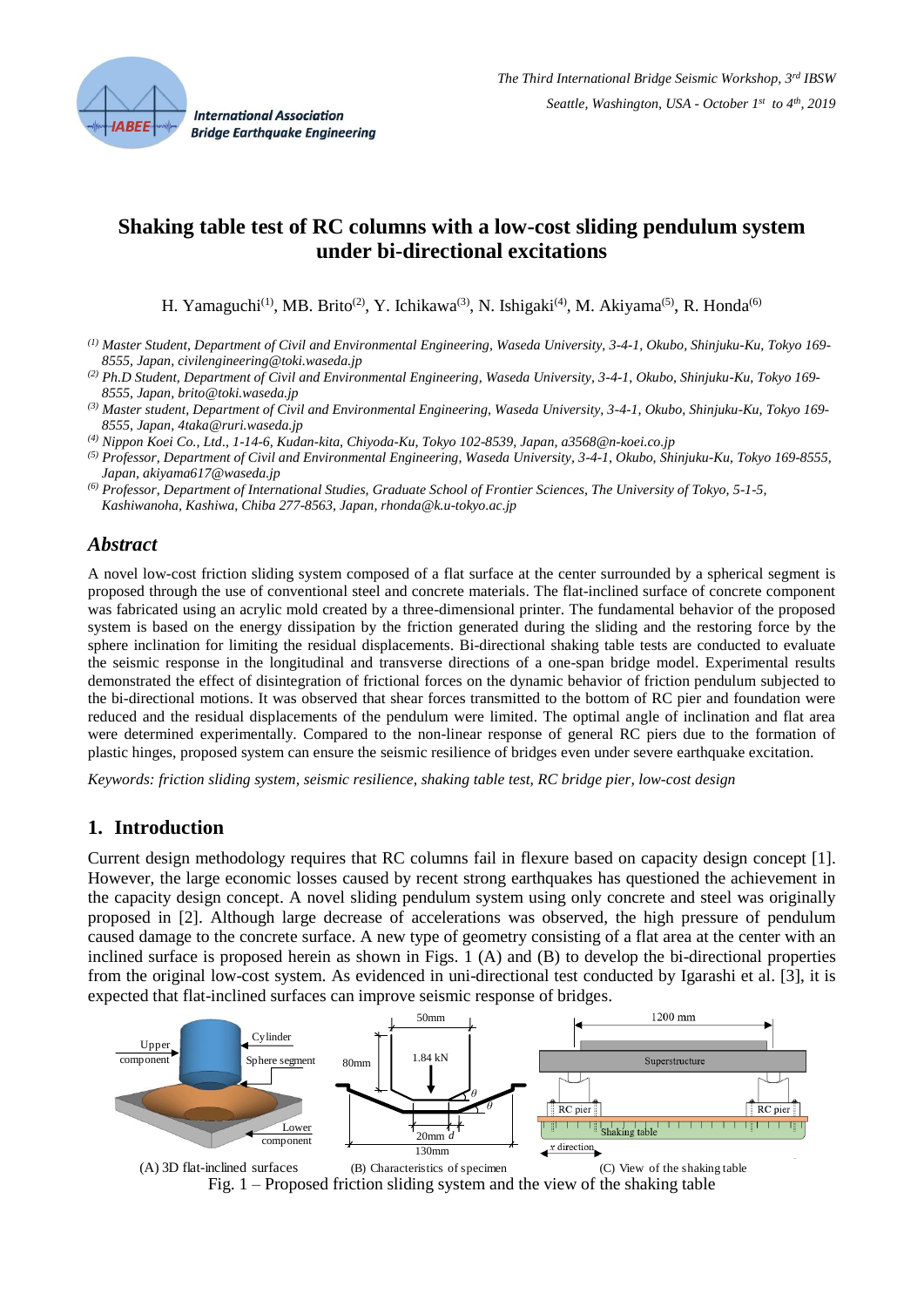

# **Shaking table test of RC columns with a low-cost sliding pendulum system under bi-directional excitations**

H. Yamaguchi<sup>(1)</sup>, MB. Brito<sup>(2)</sup>, Y. Ichikawa<sup>(3)</sup>, N. Ishigaki<sup>(4)</sup>, M. Akiyama<sup>(5)</sup>, R. Honda<sup>(6)</sup>

- *(1) Master Student, Department of Civil and Environmental Engineering, Waseda University, 3-4-1, Okubo, Shinjuku-Ku, Tokyo 169- 8555, Japan, civilengineering@toki.waseda.jp*
- *(2) Ph.D Student, Department of Civil and Environmental Engineering, Waseda University, 3-4-1, Okubo, Shinjuku-Ku, Tokyo 169- 8555, Japan, brito@toki.waseda.jp*
- *(3) Master student, Department of Civil and Environmental Engineering, Waseda University, 3-4-1, Okubo, Shinjuku-Ku, Tokyo 169- 8555, Japan, 4taka@ruri.waseda.jp*
- *(4) Nippon Koei Co., Ltd., 1-14-6, Kudan-kita, Chiyoda-Ku, Tokyo 102-8539, Japan, a3568@n-koei.co.jp*
- *(5) Professor, Department of Civil and Environmental Engineering, Waseda University, 3-4-1, Okubo, Shinjuku-Ku, Tokyo 169-8555, Japan, akiyama617@waseda.jp*
- *(6) Professor, Department of International Studies, Graduate School of Frontier Sciences, The University of Tokyo, 5-1-5, Kashiwanoha, Kashiwa, Chiba 277-8563, Japan, rhonda@k.u-tokyo.ac.jp*

## *Abstract*

A novel low-cost friction sliding system composed of a flat surface at the center surrounded by a spherical segment is proposed through the use of conventional steel and concrete materials. The flat-inclined surface of concrete component was fabricated using an acrylic mold created by a three-dimensional printer. The fundamental behavior of the proposed system is based on the energy dissipation by the friction generated during the sliding and the restoring force by the sphere inclination for limiting the residual displacements. Bi-directional shaking table tests are conducted to evaluate the seismic response in the longitudinal and transverse directions of a one-span bridge model. Experimental results demonstrated the effect of disintegration of frictional forces on the dynamic behavior of friction pendulum subjected to the bi-directional motions. It was observed that shear forces transmitted to the bottom of RC pier and foundation were reduced and the residual displacements of the pendulum were limited. The optimal angle of inclination and flat area were determined experimentally. Compared to the non-linear response of general RC piers due to the formation of plastic hinges, proposed system can ensure the seismic resilience of bridges even under severe earthquake excitation.

*Keywords: friction sliding system, seismic resilience, shaking table test, RC bridge pier, low-cost design*

# **1. Introduction**

Current design methodology requires that RC columns fail in flexure based on capacity design concept [1]. However, the large economic losses caused by recent strong earthquakes has questioned the achievement in the capacity design concept. A novel sliding pendulum system using only concrete and steel was originally proposed in [2]. Although large decrease of accelerations was observed, the high pressure of pendulum caused damage to the concrete surface. A new type of geometry consisting of a flat area at the center with an inclined surface is proposed herein as shown in Figs. 1 (A) and (B) to develop the bi-directional properties from the original low-cost system. As evidenced in uni-directional test conducted by Igarashi et al. [3], it is expected that flat-inclined surfaces can improve seismic response of bridges.